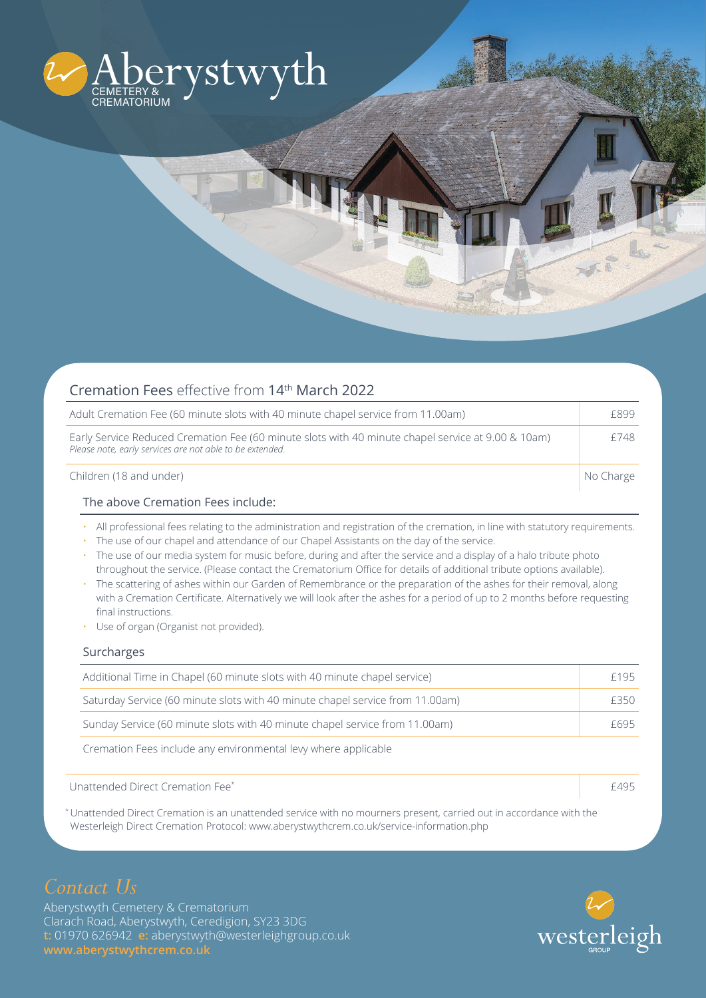

| Cremation Fees effective from 14th March 2022                                                                                                                  |           |
|----------------------------------------------------------------------------------------------------------------------------------------------------------------|-----------|
| Adult Cremation Fee (60 minute slots with 40 minute chapel service from 11.00am)                                                                               | £899      |
| Early Service Reduced Cremation Fee (60 minute slots with 40 minute chapel service at 9.00 & 10am)<br>Please note, early services are not able to be extended. | £748      |
| Children (18 and under)                                                                                                                                        | No Charge |

### The above Cremation Fees include:

- All professional fees relating to the administration and registration of the cremation, in line with statutory requirements.
- The use of our chapel and attendance of our Chapel Assistants on the day of the service.
- The use of our media system for music before, during and after the service and a display of a halo tribute photo throughout the service. (Please contact the Crematorium Office for details of additional tribute options available).
- The scattering of ashes within our Garden of Remembrance or the preparation of the ashes for their removal, along with a Cremation Certificate. Alternatively we will look after the ashes for a period of up to 2 months before requesting final instructions.
- Use of organ (Organist not provided).

#### Surcharges

| Additional Time in Chapel (60 minute slots with 40 minute chapel service)     | f195 |
|-------------------------------------------------------------------------------|------|
| Saturday Service (60 minute slots with 40 minute chapel service from 11.00am) | £350 |
| Sunday Service (60 minute slots with 40 minute chapel service from 11.00am)   | F695 |

Cremation Fees include any environmental levy where applicable

Unattended Direct Cremation Fee\* £495

 $7.8$ 

\* Unattended Direct Cremation is an unattended service with no mourners present, carried out in accordance with the Westerleigh Direct Cremation Protocol: www.aberystwythcrem.co.uk/service-information.php

# *Contact Us*

Aberystwyth Cemetery & Crematorium Clarach Road, Aberystwyth, Ceredigion, SY23 3DG **t:** 01970 626942 **e:** aberystwyth@westerleighgroup.co.uk